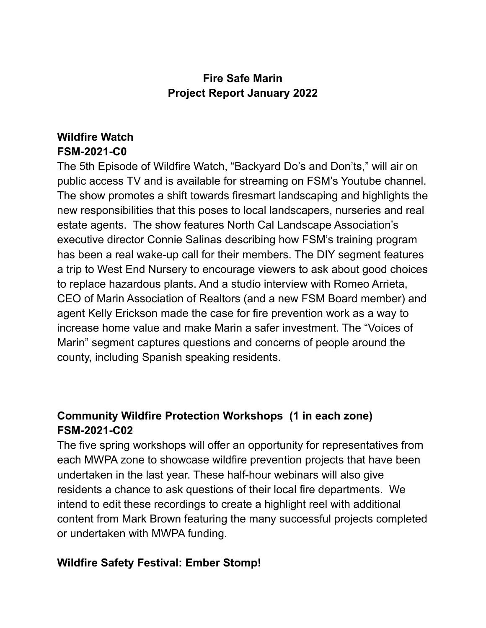### **Fire Safe Marin Project Report January 2022**

# **Wildfire Watch FSM-2021-C0**

The 5th Episode of Wildfire Watch, "Backyard Do's and Don'ts," will air on public access TV and is available for streaming on FSM's Youtube channel. The show promotes a shift towards firesmart landscaping and highlights the new responsibilities that this poses to local landscapers, nurseries and real estate agents. The show features North Cal Landscape Association's executive director Connie Salinas describing how FSM's training program has been a real wake-up call for their members. The DIY segment features a trip to West End Nursery to encourage viewers to ask about good choices to replace hazardous plants. And a studio interview with Romeo Arrieta, CEO of Marin Association of Realtors (and a new FSM Board member) and agent Kelly Erickson made the case for fire prevention work as a way to increase home value and make Marin a safer investment. The "Voices of Marin" segment captures questions and concerns of people around the county, including Spanish speaking residents.

# **Community Wildfire Protection Workshops (1 in each zone) FSM-2021-C02**

The five spring workshops will offer an opportunity for representatives from each MWPA zone to showcase wildfire prevention projects that have been undertaken in the last year. These half-hour webinars will also give residents a chance to ask questions of their local fire departments. We intend to edit these recordings to create a highlight reel with additional content from Mark Brown featuring the many successful projects completed or undertaken with MWPA funding.

#### **Wildfire Safety Festival: Ember Stomp!**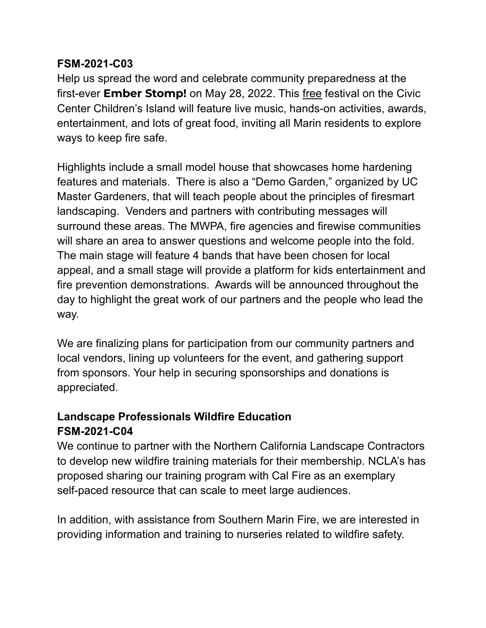#### **FSM-2021-C03**

Help us spread the word and celebrate community preparedness at the first-ever **Ember Stomp!** on May 28, 2022. This free festival on the Civic Center Children's Island will feature live music, hands-on activities, awards, entertainment, and lots of great food, inviting all Marin residents to explore ways to keep fire safe.

Highlights include a small model house that showcases home hardening features and materials. There is also a "Demo Garden," organized by UC Master Gardeners, that will teach people about the principles of firesmart landscaping. Venders and partners with contributing messages will surround these areas. The MWPA, fire agencies and firewise communities will share an area to answer questions and welcome people into the fold. The main stage will feature 4 bands that have been chosen for local appeal, and a small stage will provide a platform for kids entertainment and fire prevention demonstrations. Awards will be announced throughout the day to highlight the great work of our partners and the people who lead the way.

We are finalizing plans for participation from our community partners and local vendors, lining up volunteers for the event, and gathering support from sponsors. Your help in securing sponsorships and donations is appreciated.

### **Landscape Professionals Wildfire Education FSM-2021-C04**

We continue to partner with the Northern California Landscape Contractors to develop new wildfire training materials for their membership. NCLA's has proposed sharing our training program with Cal Fire as an exemplary self-paced resource that can scale to meet large audiences.

In addition, with assistance from Southern Marin Fire, we are interested in providing information and training to nurseries related to wildfire safety.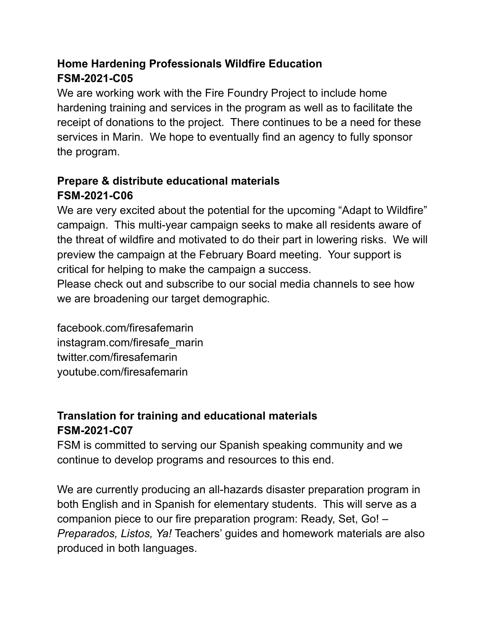# **Home Hardening Professionals Wildfire Education FSM-2021-C05**

We are working work with the Fire Foundry Project to include home hardening training and services in the program as well as to facilitate the receipt of donations to the project. There continues to be a need for these services in Marin. We hope to eventually find an agency to fully sponsor the program.

# **Prepare & distribute educational materials FSM-2021-C06**

We are very excited about the potential for the upcoming "Adapt to Wildfire" campaign. This multi-year campaign seeks to make all residents aware of the threat of wildfire and motivated to do their part in lowering risks. We will preview the campaign at the February Board meeting. Your support is critical for helping to make the campaign a success.

Please check out and subscribe to our social media channels to see how we are broadening our target demographic.

facebook.com/firesafemarin instagram.com/firesafe\_marin twitter.com/firesafemarin youtube.com/firesafemarin

# **Translation for training and educational materials FSM-2021-C07**

FSM is committed to serving our Spanish speaking community and we continue to develop programs and resources to this end.

We are currently producing an all-hazards disaster preparation program in both English and in Spanish for elementary students. This will serve as a companion piece to our fire preparation program: Ready, Set, Go! – *Preparados, Listos, Ya!* Teachers' guides and homework materials are also produced in both languages.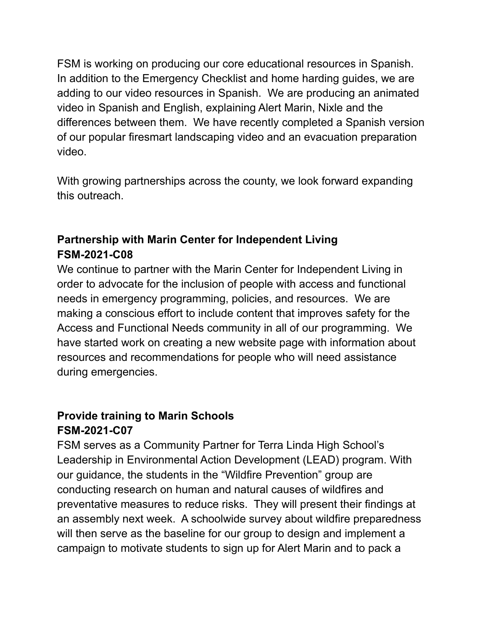FSM is working on producing our core educational resources in Spanish. In addition to the Emergency Checklist and home harding guides, we are adding to our video resources in Spanish. We are producing an animated video in Spanish and English, explaining Alert Marin, Nixle and the differences between them. We have recently completed a Spanish version of our popular firesmart landscaping video and an evacuation preparation video.

With growing partnerships across the county, we look forward expanding this outreach.

#### **Partnership with Marin Center for Independent Living FSM-2021-C08**

We continue to partner with the Marin Center for Independent Living in order to advocate for the inclusion of people with access and functional needs in emergency programming, policies, and resources. We are making a conscious effort to include content that improves safety for the Access and Functional Needs community in all of our programming. We have started work on creating a new website page with information about resources and recommendations for people who will need assistance during emergencies.

### **Provide training to Marin Schools FSM-2021-C07**

FSM serves as a Community Partner for Terra Linda High School's Leadership in Environmental Action Development (LEAD) program. With our guidance, the students in the "Wildfire Prevention" group are conducting research on human and natural causes of wildfires and preventative measures to reduce risks. They will present their findings at an assembly next week. A schoolwide survey about wildfire preparedness will then serve as the baseline for our group to design and implement a campaign to motivate students to sign up for Alert Marin and to pack a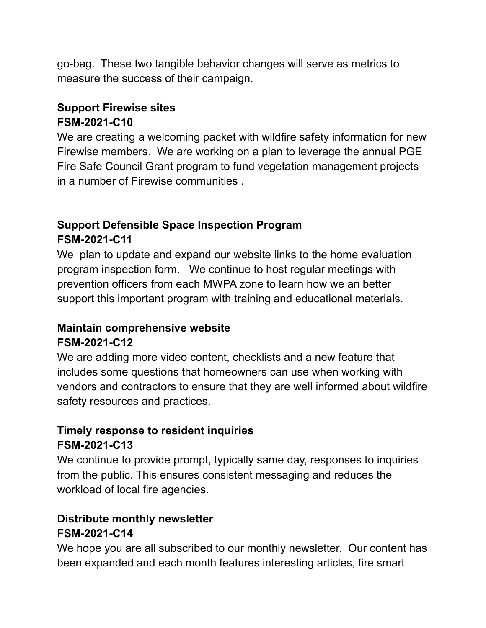go-bag. These two tangible behavior changes will serve as metrics to measure the success of their campaign.

### **Support Firewise sites FSM-2021-C10**

We are creating a welcoming packet with wildfire safety information for new Firewise members. We are working on a plan to leverage the annual PGE Fire Safe Council Grant program to fund vegetation management projects in a number of Firewise communities .

# **Support Defensible Space Inspection Program FSM-2021-C11**

We plan to update and expand our website links to the home evaluation program inspection form. We continue to host regular meetings with prevention officers from each MWPA zone to learn how we an better support this important program with training and educational materials.

### **Maintain comprehensive website FSM-2021-C12**

We are adding more video content, checklists and a new feature that includes some questions that homeowners can use when working with vendors and contractors to ensure that they are well informed about wildfire safety resources and practices.

### **Timely response to resident inquiries FSM-2021-C13**

We continue to provide prompt, typically same day, responses to inquiries from the public. This ensures consistent messaging and reduces the workload of local fire agencies.

# **Distribute monthly newsletter FSM-2021-C14**

We hope you are all subscribed to our monthly newsletter. Our content has been expanded and each month features interesting articles, fire smart